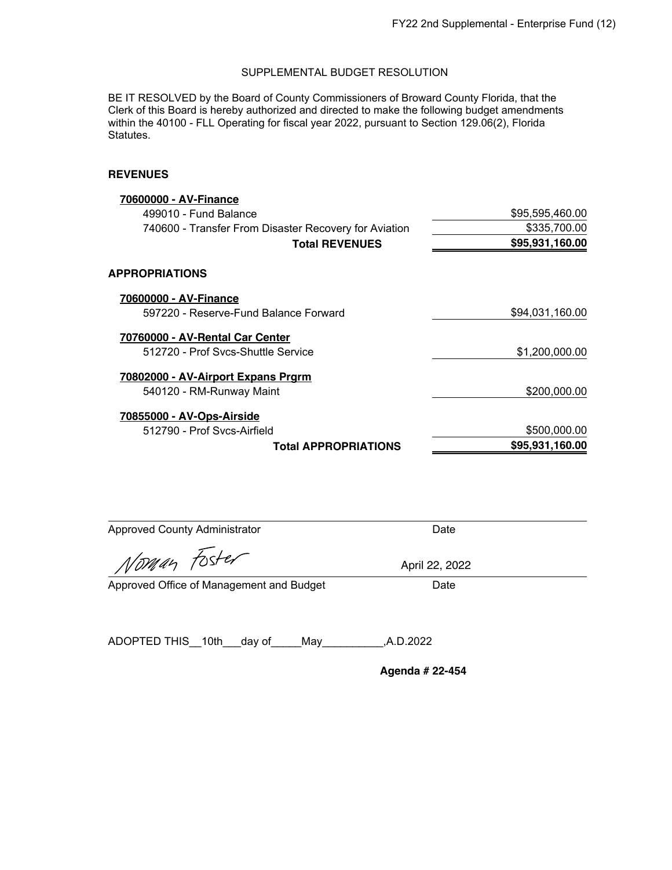BE IT RESOLVED by the Board of County Commissioners of Broward County Florida, that the Clerk of this Board is hereby authorized and directed to make the following budget amendments within the 40100 - FLL Operating for fiscal year 2022, pursuant to Section 129.06(2), Florida Statutes.

### **REVENUES**

| 70600000 - AV-Finance                                 |                 |
|-------------------------------------------------------|-----------------|
| 499010 - Fund Balance                                 | \$95,595,460.00 |
| 740600 - Transfer From Disaster Recovery for Aviation | \$335,700.00    |
| <b>Total REVENUES</b>                                 | \$95,931,160.00 |
| <b>APPROPRIATIONS</b>                                 |                 |
| 70600000 - AV-Finance                                 |                 |
| 597220 - Reserve-Fund Balance Forward                 | \$94,031,160.00 |
| 70760000 - AV-Rental Car Center                       |                 |
| 512720 - Prof Sycs-Shuttle Service                    | \$1,200,000.00  |
| 70802000 - AV-Airport Expans Prgrm                    |                 |
| 540120 - RM-Runway Maint                              | \$200,000.00    |
| 70855000 - AV-Ops-Airside                             |                 |
| 512790 - Prof Sycs-Airfield                           | \$500,000.00    |
| <b>Total APPROPRIATIONS</b>                           | \$95.931.160.00 |

| <b>Approved County Administrator</b> | Date         |
|--------------------------------------|--------------|
| Norman Foster                        | April 22, 20 |
|                                      |              |

April 22, 2022

Approved Office of Management and Budget Date

ADOPTED THIS\_\_10th\_\_\_day of\_\_\_\_\_May\_\_\_\_\_\_\_\_\_\_,A.D.2022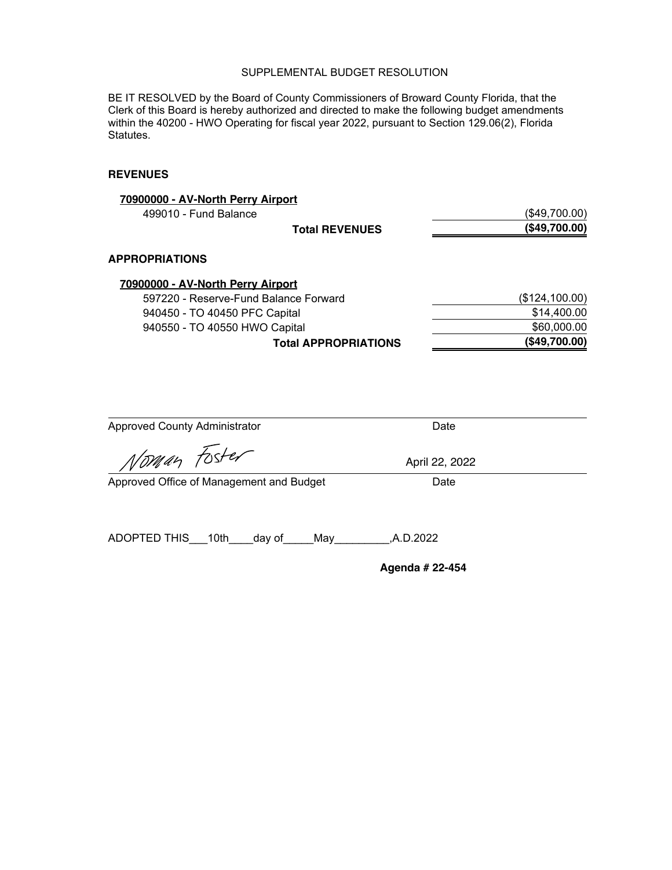BE IT RESOLVED by the Board of County Commissioners of Broward County Florida, that the Clerk of this Board is hereby authorized and directed to make the following budget amendments within the 40200 - HWO Operating for fiscal year 2022, pursuant to Section 129.06(2), Florida Statutes.

## **REVENUES**

| 70900000 - AV-North Perry Airport     |                |
|---------------------------------------|----------------|
| 499010 - Fund Balance                 | (\$49,700.00)  |
| <b>Total REVENUES</b>                 | (\$49,700.00)  |
| <b>APPROPRIATIONS</b>                 |                |
| 70900000 - AV-North Perry Airport     |                |
| 597220 - Reserve-Fund Balance Forward | (\$124,100.00) |
| 940450 - TO 40450 PFC Capital         | \$14,400.00    |
| 940550 - TO 40550 HWO Capital         | \$60,000.00    |
| <b>Total APPROPRIATIONS</b>           | (\$49,700.00)  |

| <b>Approved County Administrator</b>     | Date            |  |
|------------------------------------------|-----------------|--|
| Norman Foster                            | April 22, 2022  |  |
| Approved Office of Management and Budget | Date            |  |
|                                          |                 |  |
| ADOPTED THIS 10th day of<br>May          | .A.D.2022       |  |
|                                          | Agenda # 22-454 |  |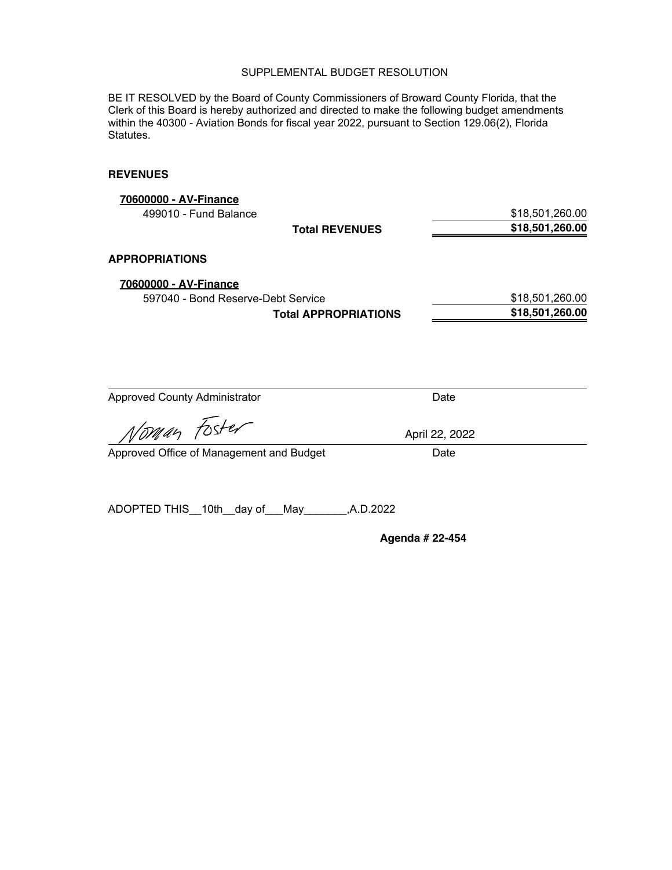BE IT RESOLVED by the Board of County Commissioners of Broward County Florida, that the Clerk of this Board is hereby authorized and directed to make the following budget amendments within the 40300 - Aviation Bonds for fiscal year 2022, pursuant to Section 129.06(2), Florida Statutes.

## **REVENUES**

| 70600000 - AV-Finance<br>499010 - Fund Balance              |                             |                | \$18,501,260.00                    |
|-------------------------------------------------------------|-----------------------------|----------------|------------------------------------|
|                                                             | <b>Total REVENUES</b>       |                | \$18,501,260.00                    |
| <b>APPROPRIATIONS</b>                                       |                             |                |                                    |
| 70600000 - AV-Finance<br>597040 - Bond Reserve-Debt Service | <b>Total APPROPRIATIONS</b> |                | \$18,501,260.00<br>\$18,501,260.00 |
|                                                             |                             |                |                                    |
|                                                             |                             |                |                                    |
| <b>Approved County Administrator</b>                        |                             | Date           |                                    |
| Noman Foster                                                |                             | April 22, 2022 |                                    |
| Approved Office of Management and Budget                    |                             | Date           |                                    |
| ADOPTED THIS 10th<br>day of                                 | A.D.2022,<br>May            |                |                                    |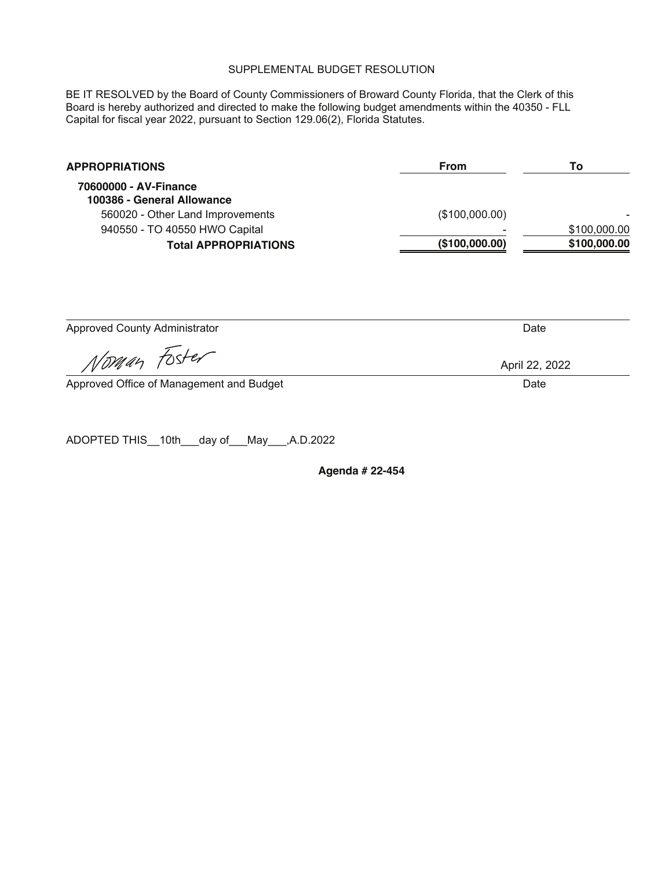BE IT RESOLVED by the Board of County Commissioners of Broward County Florida, that the Clerk of this Board is hereby authorized and directed to make the following budget amendments within the 40350 - FLL Capital for fiscal year 2022, pursuant to Section 129.06(2), Florida Statutes.

| <b>APPROPRIATIONS</b>                               | <b>From</b>    | To           |
|-----------------------------------------------------|----------------|--------------|
| 70600000 - AV-Finance<br>100386 - General Allowance |                |              |
| 560020 - Other Land Improvements                    | (\$100,000.00) |              |
| 940550 - TO 40550 HWO Capital                       |                | \$100,000.00 |
| <b>Total APPROPRIATIONS</b>                         | (\$100,000.00) | \$100,000.00 |

Approved County Administrator **Date** 

Vorwan Foster

Approved Office of Management and Budget **Date 2006** 2012 12:30 Date Date

ADOPTED THIS\_\_10th\_\_\_day of\_\_\_May\_\_\_,A.D.2022

**Agenda # 22-454** 

April 22, 2022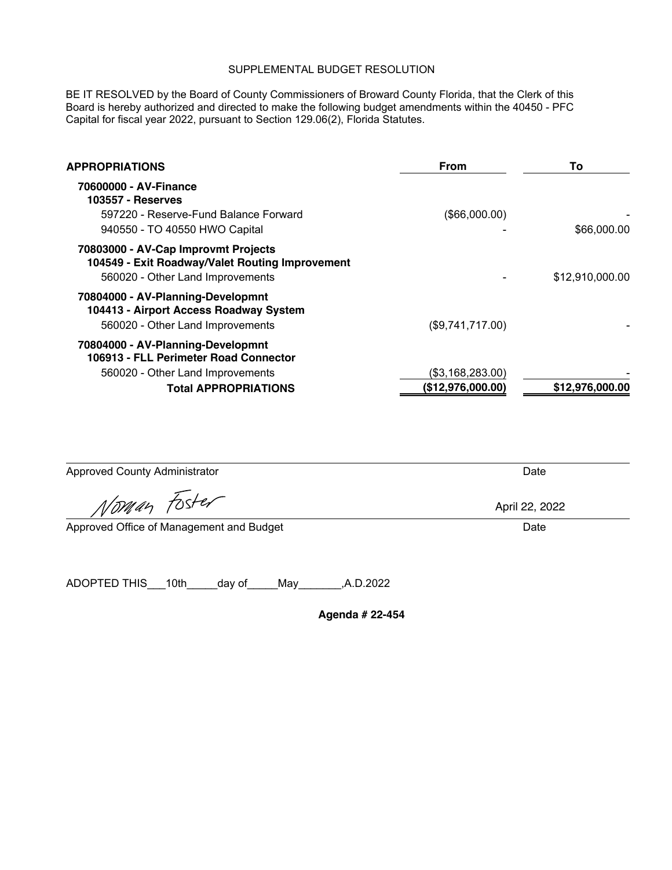BE IT RESOLVED by the Board of County Commissioners of Broward County Florida, that the Clerk of this Board is hereby authorized and directed to make the following budget amendments within the 40450 - PFC Capital for fiscal year 2022, pursuant to Section 129.06(2), Florida Statutes.

| APPROPRIATIONS                                                                                                             | From              | Τo              |
|----------------------------------------------------------------------------------------------------------------------------|-------------------|-----------------|
| 70600000 - AV-Finance<br><b>103557 - Reserves</b>                                                                          |                   |                 |
| 597220 - Reserve-Fund Balance Forward                                                                                      | (\$66,000.00)     |                 |
| 940550 - TO 40550 HWO Capital                                                                                              |                   | \$66,000.00     |
| 70803000 - AV-Cap Improvmt Projects<br>104549 - Exit Roadway/Valet Routing Improvement<br>560020 - Other Land Improvements |                   | \$12,910,000.00 |
| 70804000 - AV-Planning-Developmnt<br>104413 - Airport Access Roadway System<br>560020 - Other Land Improvements            | (\$9,741,717.00)  |                 |
| 70804000 - AV-Planning-Developmnt<br>106913 - FLL Perimeter Road Connector                                                 |                   |                 |
| 560020 - Other Land Improvements                                                                                           | (\$3,168,283.00)  |                 |
| <b>Total APPROPRIATIONS</b>                                                                                                | (\$12,976,000.00) | \$12,976,000.00 |

| <b>Approved County Administrator</b>               | Date           |
|----------------------------------------------------|----------------|
| Noman Foster                                       | April 22, 2022 |
| Approved Office of Management and Budget           | Date           |
|                                                    |                |
| ADOPTED THIS<br>10th<br>.A.D.2022<br>day of<br>Mav |                |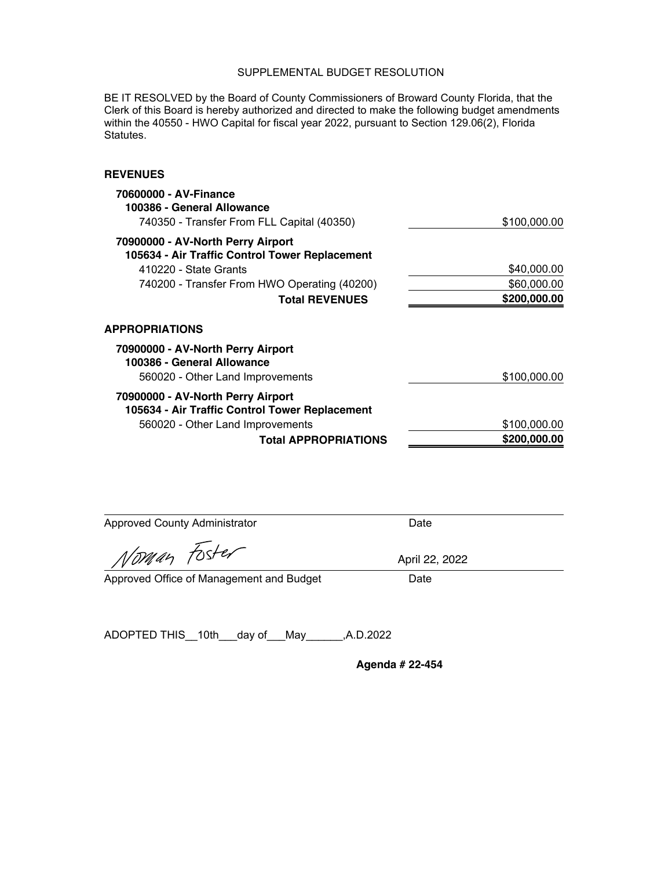BE IT RESOLVED by the Board of County Commissioners of Broward County Florida, that the Clerk of this Board is hereby authorized and directed to make the following budget amendments within the 40550 - HWO Capital for fiscal year 2022, pursuant to Section 129.06(2), Florida Statutes.

### **REVENUES**

| 70600000 - AV-Finance<br>100386 - General Allowance<br>740350 - Transfer From FLL Capital (40350) | \$100,000.00 |
|---------------------------------------------------------------------------------------------------|--------------|
| 70900000 - AV-North Perry Airport                                                                 |              |
| 105634 - Air Traffic Control Tower Replacement                                                    |              |
| 410220 - State Grants                                                                             | \$40,000.00  |
| 740200 - Transfer From HWO Operating (40200)                                                      | \$60,000.00  |
| <b>Total REVENUES</b>                                                                             | \$200,000.00 |
| <b>APPROPRIATIONS</b>                                                                             |              |
| 70900000 - AV-North Perry Airport<br>100386 - General Allowance                                   |              |
| 560020 - Other Land Improvements                                                                  | \$100,000.00 |
| 70900000 - AV-North Perry Airport                                                                 |              |
| 105634 - Air Traffic Control Tower Replacement                                                    |              |
| 560020 - Other Land Improvements                                                                  | \$100,000.00 |
| <b>Total APPROPRIATIONS</b>                                                                       | \$200,000.00 |

Approved County Administrator **Date** Date

*Noman* Fos

Approved Office of Management and Budget Date

April 22, 2022

ADOPTED THIS\_\_10th\_\_\_day of\_\_\_May\_\_\_\_\_\_,A.D.2022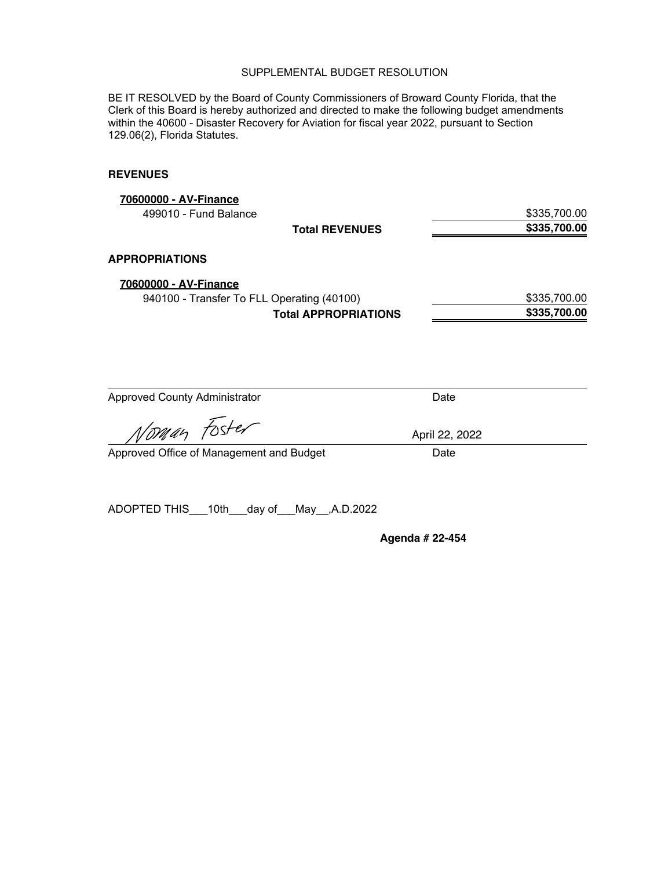BE IT RESOLVED by the Board of County Commissioners of Broward County Florida, that the Clerk of this Board is hereby authorized and directed to make the following budget amendments within the 40600 - Disaster Recovery for Aviation for fiscal year 2022, pursuant to Section 129.06(2), Florida Statutes.

### **REVENUES**

| 70600000 - AV-Finance                      |                             |                |              |
|--------------------------------------------|-----------------------------|----------------|--------------|
| 499010 - Fund Balance                      |                             |                | \$335,700.00 |
|                                            | <b>Total REVENUES</b>       |                | \$335,700.00 |
| <b>APPROPRIATIONS</b>                      |                             |                |              |
| 70600000 - AV-Finance                      |                             |                |              |
| 940100 - Transfer To FLL Operating (40100) |                             |                | \$335,700.00 |
|                                            | <b>Total APPROPRIATIONS</b> |                | \$335,700.00 |
|                                            |                             |                |              |
| <b>Approved County Administrator</b>       |                             | Date           |              |
| Noman Fost                                 |                             | April 22, 2022 |              |

Approved Office of Management and Budget Date

ADOPTED THIS\_\_\_10th\_\_\_day of\_\_\_May\_\_,A.D.2022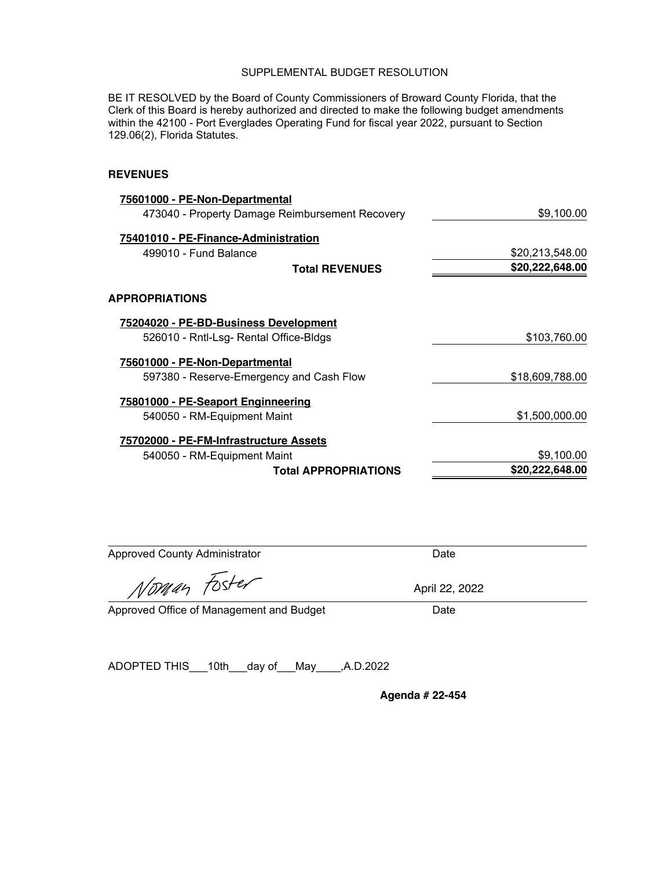BE IT RESOLVED by the Board of County Commissioners of Broward County Florida, that the Clerk of this Board is hereby authorized and directed to make the following budget amendments within the 42100 - Port Everglades Operating Fund for fiscal year 2022, pursuant to Section 129.06(2), Florida Statutes.

### **REVENUES**

| 75601000 - PE-Non-Departmental                  |                 |
|-------------------------------------------------|-----------------|
| 473040 - Property Damage Reimbursement Recovery | \$9,100.00      |
| 75401010 - PE-Finance-Administration            |                 |
| 499010 - Fund Balance                           | \$20,213,548.00 |
| <b>Total REVENUES</b>                           | \$20,222,648.00 |
| <b>APPROPRIATIONS</b>                           |                 |
| 75204020 - PE-BD-Business Development           |                 |
| 526010 - Rntl-Lsg- Rental Office-Bldgs          | \$103,760.00    |
| 75601000 - PE-Non-Departmental                  |                 |
| 597380 - Reserve-Emergency and Cash Flow        | \$18,609,788.00 |
| 75801000 - PE-Seaport Enginneering              |                 |
| 540050 - RM-Equipment Maint                     | \$1,500,000.00  |
| 75702000 - PE-FM-Infrastructure Assets          |                 |
| 540050 - RM-Equipment Maint                     | \$9,100.00      |
| <b>Total APPROPRIATIONS</b>                     | \$20,222,648.00 |

| <b>Approved County Administrator</b>     | Date           |  |
|------------------------------------------|----------------|--|
| Noman Foster                             | April 22, 2022 |  |
| Approved Office of Management and Budget | Date           |  |

ADOPTED THIS\_\_\_10th\_\_\_day of\_\_\_May\_\_\_\_,A.D.2022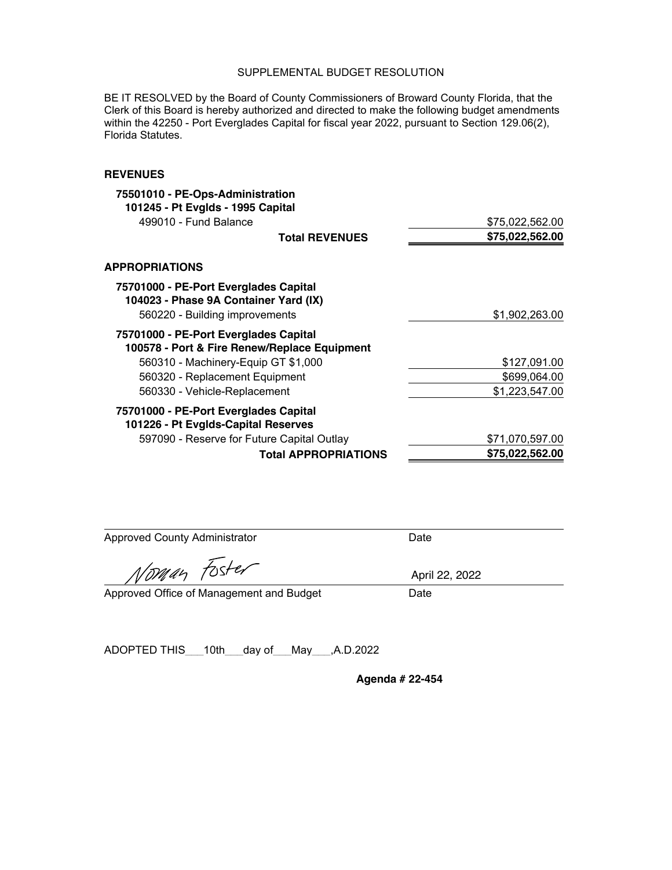BE IT RESOLVED by the Board of County Commissioners of Broward County Florida, that the Clerk of this Board is hereby authorized and directed to make the following budget amendments within the 42250 - Port Everglades Capital for fiscal year 2022, pursuant to Section 129.06(2), Florida Statutes.

### **REVENUES**

| 75501010 - PE-Ops-Administration                                               |                 |
|--------------------------------------------------------------------------------|-----------------|
| 101245 - Pt Evglds - 1995 Capital                                              |                 |
| 499010 - Fund Balance                                                          | \$75,022,562.00 |
| <b>Total REVENUES</b>                                                          | \$75,022,562.00 |
| <b>APPROPRIATIONS</b>                                                          |                 |
| 75701000 - PE-Port Everglades Capital<br>104023 - Phase 9A Container Yard (IX) |                 |
| 560220 - Building improvements                                                 | \$1,902,263.00  |
| 75701000 - PE-Port Everglades Capital                                          |                 |
| 100578 - Port & Fire Renew/Replace Equipment                                   |                 |
| 560310 - Machinery-Equip GT \$1,000                                            | \$127,091.00    |
| 560320 - Replacement Equipment                                                 | \$699,064.00    |
| 560330 - Vehicle-Replacement                                                   | \$1,223,547.00  |
| 75701000 - PE-Port Everglades Capital                                          |                 |
| 101226 - Pt Evglds-Capital Reserves                                            |                 |
| 597090 - Reserve for Future Capital Outlay                                     | \$71,070,597.00 |
| <b>Total APPROPRIATIONS</b>                                                    | \$75,022,562.00 |

Approved County Administrator **Date** Date

Noman Foster

Approved Office of Management and Budget Date

ADOPTED THIS\_\_\_10th\_\_\_day of\_\_\_May\_\_\_,A.D.2022

**Agenda # 22-454** 

April 22, 2022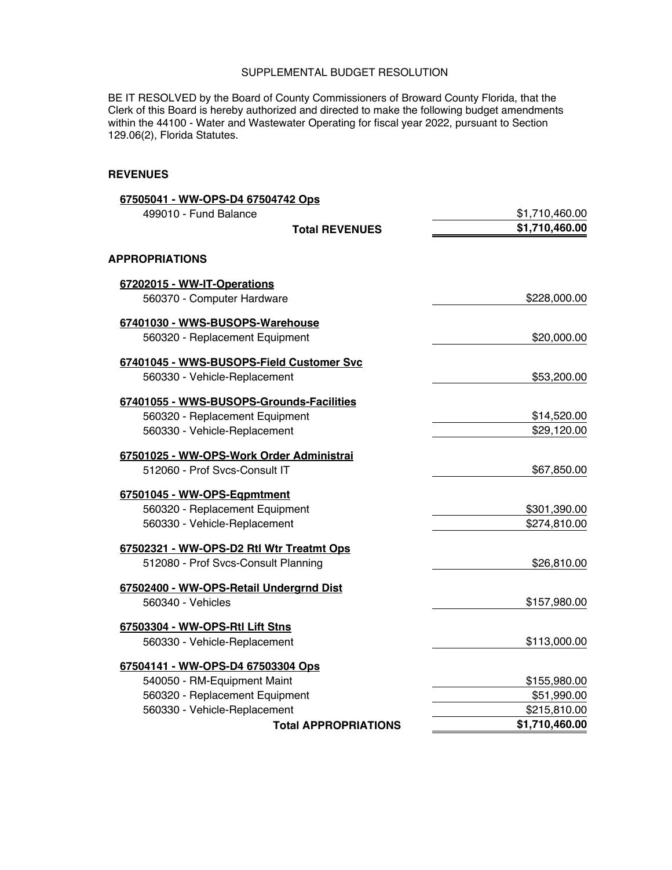BE IT RESOLVED by the Board of County Commissioners of Broward County Florida, that the Clerk of this Board is hereby authorized and directed to make the following budget amendments within the 44100 - Water and Wastewater Operating for fiscal year 2022, pursuant to Section 129.06(2), Florida Statutes.

#### **REVENUES**

| 67505041 - WW-OPS-D4 67504742 Ops        |                |
|------------------------------------------|----------------|
| 499010 - Fund Balance                    | \$1,710,460.00 |
| <b>Total REVENUES</b>                    | \$1,710,460.00 |
| <b>APPROPRIATIONS</b>                    |                |
| 67202015 - WW-IT-Operations              |                |
| 560370 - Computer Hardware               | \$228,000.00   |
| 67401030 - WWS-BUSOPS-Warehouse          |                |
| 560320 - Replacement Equipment           | \$20,000.00    |
| 67401045 - WWS-BUSOPS-Field Customer Svc |                |
| 560330 - Vehicle-Replacement             | \$53,200.00    |
| 67401055 - WWS-BUSOPS-Grounds-Facilities |                |
| 560320 - Replacement Equipment           | \$14,520.00    |
| 560330 - Vehicle-Replacement             | \$29,120.00    |
| 67501025 - WW-OPS-Work Order Administrai |                |
| 512060 - Prof Svcs-Consult IT            | \$67,850.00    |
| 67501045 - WW-OPS-Eqpmtment              |                |
| 560320 - Replacement Equipment           | \$301,390.00   |
| 560330 - Vehicle-Replacement             | \$274,810.00   |
| 67502321 - WW-OPS-D2 Rtl Wtr Treatmt Ops |                |
| 512080 - Prof Svcs-Consult Planning      | \$26,810.00    |
| 67502400 - WW-OPS-Retail Undergrnd Dist  |                |
| 560340 - Vehicles                        | \$157,980.00   |
| 67503304 - WW-OPS-Rtl Lift Stns          |                |
| 560330 - Vehicle-Replacement             | \$113,000.00   |
| 67504141 - WW-OPS-D4 67503304 Ops        |                |
| 540050 - RM-Equipment Maint              | \$155,980.00   |
| 560320 - Replacement Equipment           | \$51,990.00    |
| 560330 - Vehicle-Replacement             | \$215,810.00   |
| <b>Total APPROPRIATIONS</b>              | \$1,710,460.00 |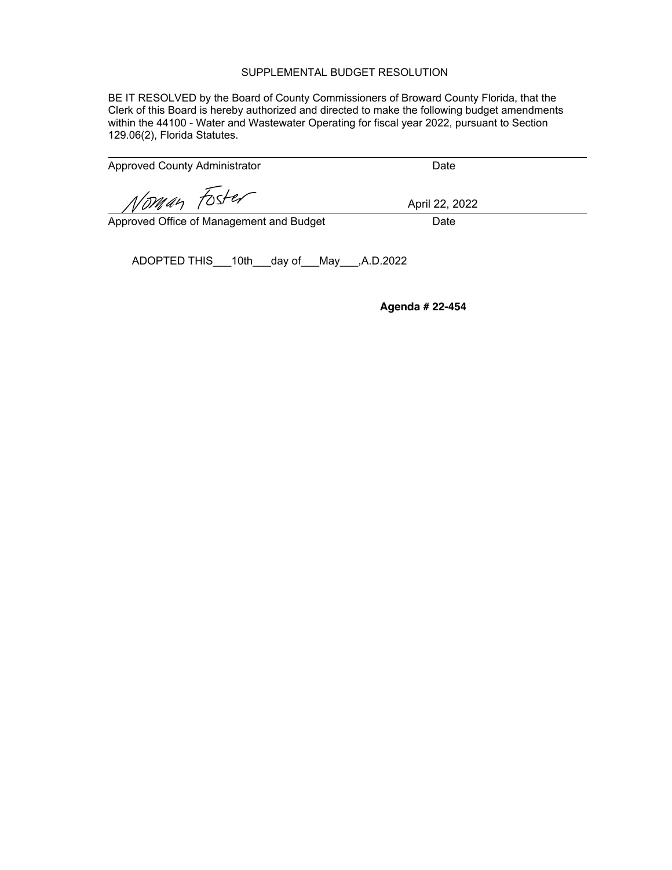BE IT RESOLVED by the Board of County Commissioners of Broward County Florida, that the Clerk of this Board is hereby authorized and directed to make the following budget amendments within the 44100 - Water and Wastewater Operating for fiscal year 2022, pursuant to Section 129.06(2), Florida Statutes.

Approved County Administrator **Date** Date

Voman Foster

Approved Office of Management and Budget Date

April 22, 2022

ADOPTED THIS\_\_\_10th\_\_\_day of\_\_\_May\_\_\_,A.D.2022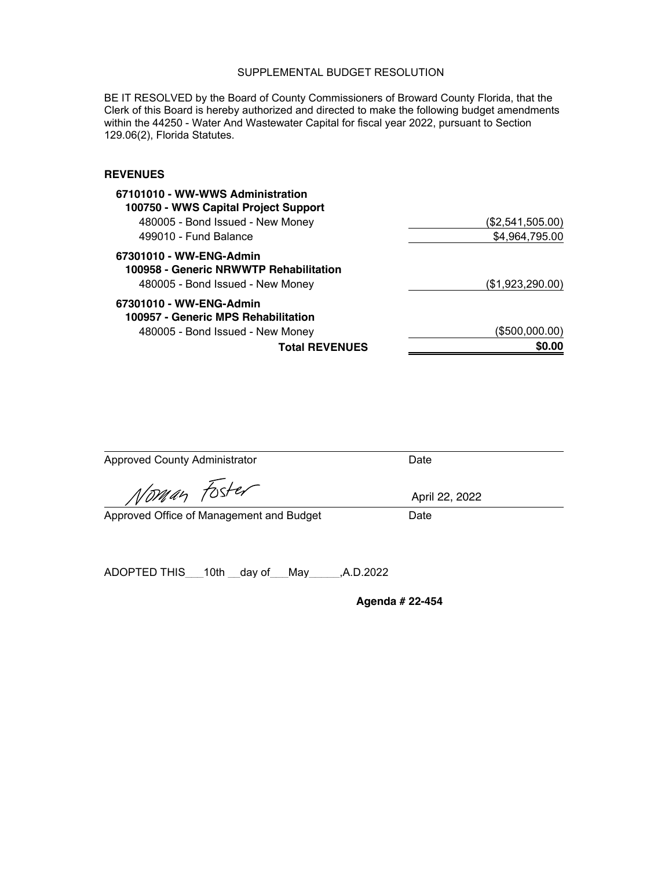BE IT RESOLVED by the Board of County Commissioners of Broward County Florida, that the Clerk of this Board is hereby authorized and directed to make the following budget amendments within the 44250 - Water And Wastewater Capital for fiscal year 2022, pursuant to Section 129.06(2), Florida Statutes.

### **REVENUES**

| 67101010 - WW-WWS Administration<br>100750 - WWS Capital Project Support                              |                  |
|-------------------------------------------------------------------------------------------------------|------------------|
| 480005 - Bond Issued - New Money                                                                      | (\$2,541,505.00) |
| 499010 - Fund Balance                                                                                 | \$4,964,795.00   |
| 67301010 - WW-ENG-Admin<br>100958 - Generic NRWWTP Rehabilitation<br>480005 - Bond Issued - New Money | (\$1,923,290.00) |
| 67301010 - WW-ENG-Admin<br>100957 - Generic MPS Rehabilitation                                        |                  |
| 480005 - Bond Issued - New Money                                                                      | (\$500,000.00)   |
| <b>Total REVENUES</b>                                                                                 | \$0.00           |

| <b>Approved County Administrator</b>     | Date            |
|------------------------------------------|-----------------|
| Norman Foster                            | April 22, 2022  |
| Approved Office of Management and Budget | Date            |
|                                          |                 |
| ADOPTED THIS 10th day of May ,A.D.2022   |                 |
|                                          | Agenda # 22-454 |